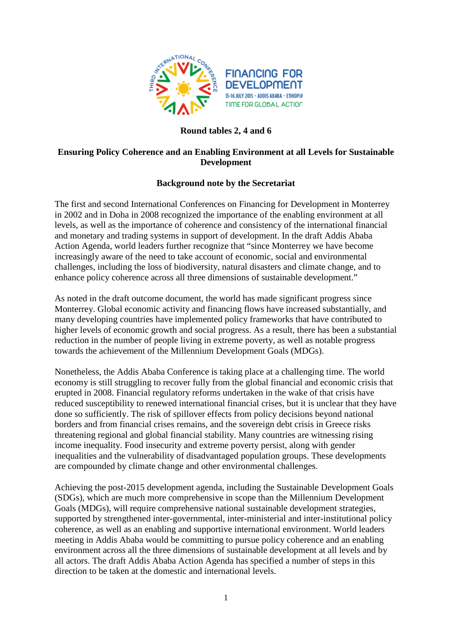

# **Round tables 2, 4 and 6**

# **Ensuring Policy Coherence and an Enabling Environment at all Levels for Sustainable Development**

## **Background note by the Secretariat**

The first and second International Conferences on Financing for Development in Monterrey in 2002 and in Doha in 2008 recognized the importance of the enabling environment at all levels, as well as the importance of coherence and consistency of the international financial and monetary and trading systems in support of development. In the draft Addis Ababa Action Agenda, world leaders further recognize that "since Monterrey we have become increasingly aware of the need to take account of economic, social and environmental challenges, including the loss of biodiversity, natural disasters and climate change, and to enhance policy coherence across all three dimensions of sustainable development."

As noted in the draft outcome document, the world has made significant progress since Monterrey. Global economic activity and financing flows have increased substantially, and many developing countries have implemented policy frameworks that have contributed to higher levels of economic growth and social progress. As a result, there has been a substantial reduction in the number of people living in extreme poverty, as well as notable progress towards the achievement of the Millennium Development Goals (MDGs).

Nonetheless, the Addis Ababa Conference is taking place at a challenging time. The world economy is still struggling to recover fully from the global financial and economic crisis that erupted in 2008. Financial regulatory reforms undertaken in the wake of that crisis have reduced susceptibility to renewed international financial crises, but it is unclear that they have done so sufficiently. The risk of spillover effects from policy decisions beyond national borders and from financial crises remains, and the sovereign debt crisis in Greece risks threatening regional and global financial stability. Many countries are witnessing rising income inequality. Food insecurity and extreme poverty persist, along with gender inequalities and the vulnerability of disadvantaged population groups. These developments are compounded by climate change and other environmental challenges.

Achieving the post-2015 development agenda, including the Sustainable Development Goals (SDGs), which are much more comprehensive in scope than the Millennium Development Goals (MDGs), will require comprehensive national sustainable development strategies, supported by strengthened inter-governmental, inter-ministerial and inter-institutional policy coherence, as well as an enabling and supportive international environment. World leaders meeting in Addis Ababa would be committing to pursue policy coherence and an enabling environment across all the three dimensions of sustainable development at all levels and by all actors. The draft Addis Ababa Action Agenda has specified a number of steps in this direction to be taken at the domestic and international levels.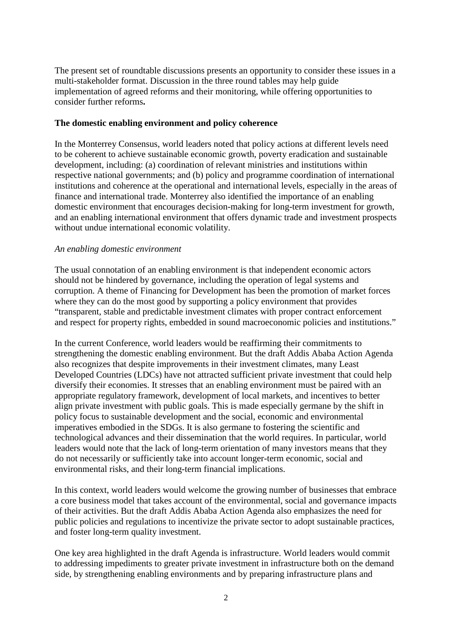The present set of roundtable discussions presents an opportunity to consider these issues in a multi-stakeholder format. Discussion in the three round tables may help guide implementation of agreed reforms and their monitoring, while offering opportunities to consider further reforms**.**

### **The domestic enabling environment and policy coherence**

In the Monterrey Consensus, world leaders noted that policy actions at different levels need to be coherent to achieve sustainable economic growth, poverty eradication and sustainable development, including: (a) coordination of relevant ministries and institutions within respective national governments; and (b) policy and programme coordination of international institutions and coherence at the operational and international levels, especially in the areas of finance and international trade. Monterrey also identified the importance of an enabling domestic environment that encourages decision-making for long-term investment for growth, and an enabling international environment that offers dynamic trade and investment prospects without undue international economic volatility.

## *An enabling domestic environment*

The usual connotation of an enabling environment is that independent economic actors should not be hindered by governance, including the operation of legal systems and corruption. A theme of Financing for Development has been the promotion of market forces where they can do the most good by supporting a policy environment that provides "transparent, stable and predictable investment climates with proper contract enforcement and respect for property rights, embedded in sound macroeconomic policies and institutions."

In the current Conference, world leaders would be reaffirming their commitments to strengthening the domestic enabling environment. But the draft Addis Ababa Action Agenda also recognizes that despite improvements in their investment climates, many Least Developed Countries (LDCs) have not attracted sufficient private investment that could help diversify their economies. It stresses that an enabling environment must be paired with an appropriate regulatory framework, development of local markets, and incentives to better align private investment with public goals. This is made especially germane by the shift in policy focus to sustainable development and the social, economic and environmental imperatives embodied in the SDGs. It is also germane to fostering the scientific and technological advances and their dissemination that the world requires. In particular, world leaders would note that the lack of long-term orientation of many investors means that they do not necessarily or sufficiently take into account longer-term economic, social and environmental risks, and their long-term financial implications.

In this context, world leaders would welcome the growing number of businesses that embrace a core business model that takes account of the environmental, social and governance impacts of their activities. But the draft Addis Ababa Action Agenda also emphasizes the need for public policies and regulations to incentivize the private sector to adopt sustainable practices, and foster long-term quality investment.

One key area highlighted in the draft Agenda is infrastructure. World leaders would commit to addressing impediments to greater private investment in infrastructure both on the demand side, by strengthening enabling environments and by preparing infrastructure plans and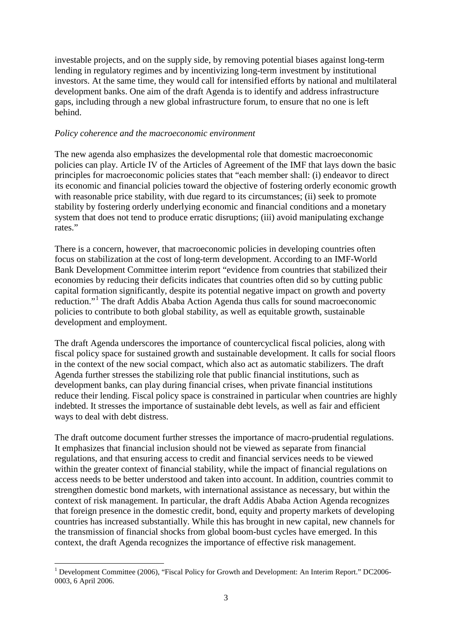investable projects, and on the supply side, by removing potential biases against long-term lending in regulatory regimes and by incentivizing long-term investment by institutional investors. At the same time, they would call for intensified efforts by national and multilateral development banks. One aim of the draft Agenda is to identify and address infrastructure gaps, including through a new global infrastructure forum, to ensure that no one is left behind.

#### *Policy coherence and the macroeconomic environment*

The new agenda also emphasizes the developmental role that domestic macroeconomic policies can play. Article IV of the Articles of Agreement of the IMF that lays down the basic principles for macroeconomic policies states that "each member shall: (i) endeavor to direct its economic and financial policies toward the objective of fostering orderly economic growth with reasonable price stability, with due regard to its circumstances; (ii) seek to promote stability by fostering orderly underlying economic and financial conditions and a monetary system that does not tend to produce erratic disruptions; (iii) avoid manipulating exchange rates."

There is a concern, however, that macroeconomic policies in developing countries often focus on stabilization at the cost of long-term development. According to an IMF-World Bank Development Committee interim report "evidence from countries that stabilized their economies by reducing their deficits indicates that countries often did so by cutting public capital formation significantly, despite its potential negative impact on growth and poverty reduction."[1](#page-2-0) The draft Addis Ababa Action Agenda thus calls for sound macroeconomic policies to contribute to both global stability, as well as equitable growth, sustainable development and employment.

The draft Agenda underscores the importance of countercyclical fiscal policies, along with fiscal policy space for sustained growth and sustainable development. It calls for social floors in the context of the new social compact, which also act as automatic stabilizers. The draft Agenda further stresses the stabilizing role that public financial institutions, such as development banks, can play during financial crises, when private financial institutions reduce their lending. Fiscal policy space is constrained in particular when countries are highly indebted. It stresses the importance of sustainable debt levels, as well as fair and efficient ways to deal with debt distress.

The draft outcome document further stresses the importance of macro-prudential regulations. It emphasizes that financial inclusion should not be viewed as separate from financial regulations, and that ensuring access to credit and financial services needs to be viewed within the greater context of financial stability, while the impact of financial regulations on access needs to be better understood and taken into account. In addition, countries commit to strengthen domestic bond markets, with international assistance as necessary, but within the context of risk management. In particular, the draft Addis Ababa Action Agenda recognizes that foreign presence in the domestic credit, bond, equity and property markets of developing countries has increased substantially. While this has brought in new capital, new channels for the transmission of financial shocks from global boom-bust cycles have emerged. In this context, the draft Agenda recognizes the importance of effective risk management.

<span id="page-2-0"></span><sup>&</sup>lt;sup>1</sup> Development Committee (2006), "Fiscal Policy for Growth and Development: An Interim Report." DC2006-0003, 6 April 2006.  $\overline{a}$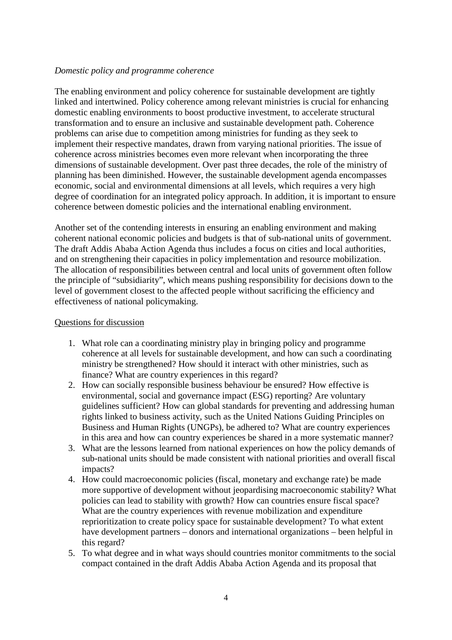#### *Domestic policy and programme coherence*

The enabling environment and policy coherence for sustainable development are tightly linked and intertwined. Policy coherence among relevant ministries is crucial for enhancing domestic enabling environments to boost productive investment, to accelerate structural transformation and to ensure an inclusive and sustainable development path. Coherence problems can arise due to competition among ministries for funding as they seek to implement their respective mandates, drawn from varying national priorities. The issue of coherence across ministries becomes even more relevant when incorporating the three dimensions of sustainable development. Over past three decades, the role of the ministry of planning has been diminished. However, the sustainable development agenda encompasses economic, social and environmental dimensions at all levels, which requires a very high degree of coordination for an integrated policy approach. In addition, it is important to ensure coherence between domestic policies and the international enabling environment.

Another set of the contending interests in ensuring an enabling environment and making coherent national economic policies and budgets is that of sub-national units of government. The draft Addis Ababa Action Agenda thus includes a focus on cities and local authorities, and on strengthening their capacities in policy implementation and resource mobilization. The allocation of responsibilities between central and local units of government often follow the principle of "subsidiarity", which means pushing responsibility for decisions down to the level of government closest to the affected people without sacrificing the efficiency and effectiveness of national policymaking.

#### Questions for discussion

- 1. What role can a coordinating ministry play in bringing policy and programme coherence at all levels for sustainable development, and how can such a coordinating ministry be strengthened? How should it interact with other ministries, such as finance? What are country experiences in this regard?
- 2. How can socially responsible business behaviour be ensured? How effective is environmental, social and governance impact (ESG) reporting? Are voluntary guidelines sufficient? How can global standards for preventing and addressing human rights linked to business activity, such as the United Nations Guiding Principles on Business and Human Rights (UNGPs), be adhered to? What are country experiences in this area and how can country experiences be shared in a more systematic manner?
- 3. What are the lessons learned from national experiences on how the policy demands of sub-national units should be made consistent with national priorities and overall fiscal impacts?
- 4. How could macroeconomic policies (fiscal, monetary and exchange rate) be made more supportive of development without jeopardising macroeconomic stability? What policies can lead to stability with growth? How can countries ensure fiscal space? What are the country experiences with revenue mobilization and expenditure reprioritization to create policy space for sustainable development? To what extent have development partners – donors and international organizations – been helpful in this regard?
- 5. To what degree and in what ways should countries monitor commitments to the social compact contained in the draft Addis Ababa Action Agenda and its proposal that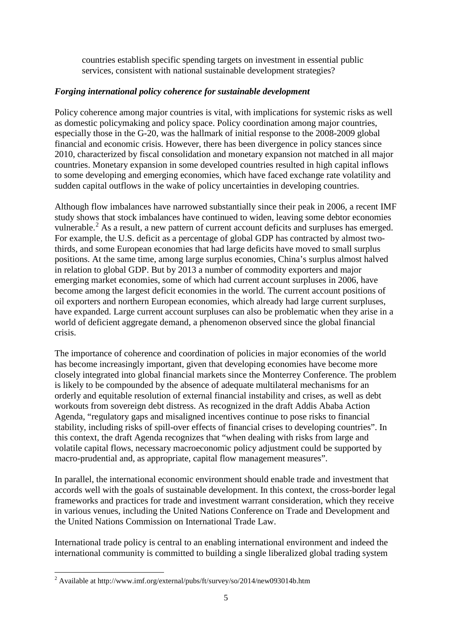countries establish specific spending targets on investment in essential public services, consistent with national sustainable development strategies?

# *Forging international policy coherence for sustainable development*

Policy coherence among major countries is vital, with implications for systemic risks as well as domestic policymaking and policy space. Policy coordination among major countries, especially those in the G-20, was the hallmark of initial response to the 2008-2009 global financial and economic crisis. However, there has been divergence in policy stances since 2010, characterized by fiscal consolidation and monetary expansion not matched in all major countries. Monetary expansion in some developed countries resulted in high capital inflows to some developing and emerging economies, which have faced exchange rate volatility and sudden capital outflows in the wake of policy uncertainties in developing countries.

Although flow imbalances have narrowed substantially since their peak in 2006, a recent IMF study shows that stock imbalances have continued to widen, leaving some debtor economies vulnerable.<sup>[2](#page-4-0)</sup> As a result, a new pattern of current account deficits and surpluses has emerged. For example, the U.S. deficit as a percentage of global GDP has contracted by almost twothirds, and some European economies that had large deficits have moved to small surplus positions. At the same time, among large surplus economies, China's surplus almost halved in relation to global GDP. But by 2013 a number of commodity exporters and major emerging market economies, some of which had current account surpluses in 2006, have become among the largest deficit economies in the world. The current account positions of oil exporters and northern European economies, which already had large current surpluses, have expanded. Large current account surpluses can also be problematic when they arise in a world of deficient aggregate demand, a phenomenon observed since the global financial crisis.

The importance of coherence and coordination of policies in major economies of the world has become increasingly important, given that developing economies have become more closely integrated into global financial markets since the Monterrey Conference. The problem is likely to be compounded by the absence of adequate multilateral mechanisms for an orderly and equitable resolution of external financial instability and crises, as well as debt workouts from sovereign debt distress. As recognized in the draft Addis Ababa Action Agenda, "regulatory gaps and misaligned incentives continue to pose risks to financial stability, including risks of spill-over effects of financial crises to developing countries". In this context, the draft Agenda recognizes that "when dealing with risks from large and volatile capital flows, necessary macroeconomic policy adjustment could be supported by macro-prudential and, as appropriate, capital flow management measures".

In parallel, the international economic environment should enable trade and investment that accords well with the goals of sustainable development. In this context, the cross-border legal frameworks and practices for trade and investment warrant consideration, which they receive in various venues, including the United Nations Conference on Trade and Development and the United Nations Commission on International Trade Law.

International trade policy is central to an enabling international environment and indeed the international community is committed to building a single liberalized global trading system

1

<span id="page-4-0"></span><sup>&</sup>lt;sup>2</sup> Available at http://www.imf.org/external/pubs/ft/survey/so/2014/new093014b.htm